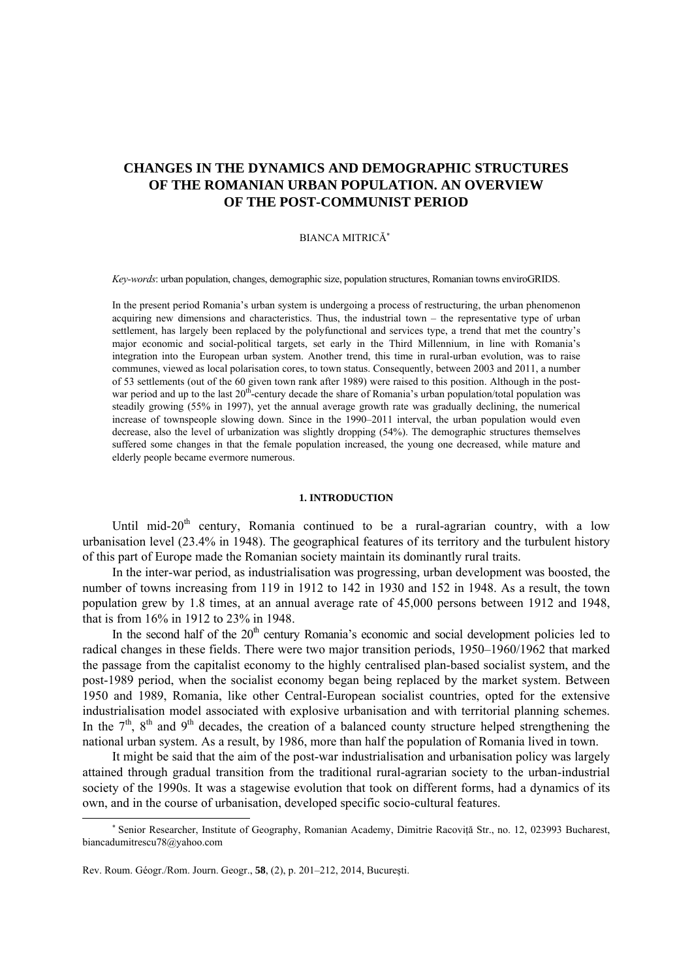# **CHANGES IN THE DYNAMICS AND DEMOGRAPHIC STRUCTURES OF THE ROMANIAN URBAN POPULATION. AN OVERVIEW OF THE POST-COMMUNIST PERIOD**

# BIANCA MITRICĂ<sup>∗</sup>

*Key-words*: urban population, changes, demographic size, population structures, Romanian towns enviroGRIDS.

In the present period Romania's urban system is undergoing a process of restructuring, the urban phenomenon acquiring new dimensions and characteristics. Thus, the industrial town – the representative type of urban settlement, has largely been replaced by the polyfunctional and services type, a trend that met the country's major economic and social-political targets, set early in the Third Millennium, in line with Romania's integration into the European urban system. Another trend, this time in rural-urban evolution, was to raise communes, viewed as local polarisation cores, to town status. Consequently, between 2003 and 2011, a number of 53 settlements (out of the 60 given town rank after 1989) were raised to this position. Although in the postwar period and up to the last 20<sup>th</sup>-century decade the share of Romania's urban population/total population was steadily growing (55% in 1997), yet the annual average growth rate was gradually declining, the numerical increase of townspeople slowing down. Since in the 1990–2011 interval, the urban population would even decrease, also the level of urbanization was slightly dropping (54%). The demographic structures themselves suffered some changes in that the female population increased, the young one decreased, while mature and elderly people became evermore numerous.

#### **1. INTRODUCTION**

Until mid-20<sup>th</sup> century, Romania continued to be a rural-agrarian country, with a low urbanisation level (23.4% in 1948). The geographical features of its territory and the turbulent history of this part of Europe made the Romanian society maintain its dominantly rural traits.

In the inter-war period, as industrialisation was progressing, urban development was boosted, the number of towns increasing from 119 in 1912 to 142 in 1930 and 152 in 1948. As a result, the town population grew by 1.8 times, at an annual average rate of 45,000 persons between 1912 and 1948, that is from 16% in 1912 to 23% in 1948.

In the second half of the 20<sup>th</sup> century Romania's economic and social development policies led to radical changes in these fields. There were two major transition periods, 1950–1960/1962 that marked the passage from the capitalist economy to the highly centralised plan-based socialist system, and the post-1989 period, when the socialist economy began being replaced by the market system. Between 1950 and 1989, Romania, like other Central-European socialist countries, opted for the extensive industrialisation model associated with explosive urbanisation and with territorial planning schemes. In the  $7<sup>th</sup>$ ,  $8<sup>th</sup>$  and  $9<sup>th</sup>$  decades, the creation of a balanced county structure helped strengthening the national urban system. As a result, by 1986, more than half the population of Romania lived in town.

It might be said that the aim of the post-war industrialisation and urbanisation policy was largely attained through gradual transition from the traditional rural-agrarian society to the urban-industrial society of the 1990s. It was a stagewise evolution that took on different forms, had a dynamics of its own, and in the course of urbanisation, developed specific socio-cultural features.

 $\overline{a}$ 

<sup>∗</sup> Senior Researcher, Institute of Geography, Romanian Academy, Dimitrie Racoviţă Str., no. 12, 023993 Bucharest, biancadumitrescu78@yahoo.com

Rev. Roum. Géogr./Rom. Journ. Geogr., **58**, (2), p. 201–212, 2014, Bucureşti.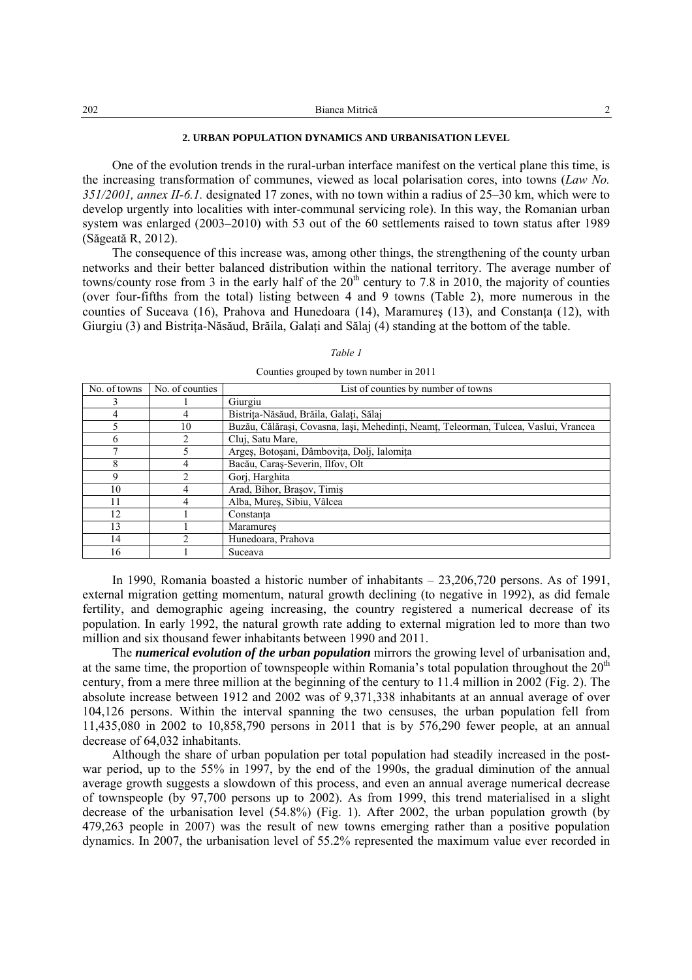| 202<br>Bianca Mitrică |  |
|-----------------------|--|
|-----------------------|--|

## **2. URBAN POPULATION DYNAMICS AND URBANISATION LEVEL**

One of the evolution trends in the rural-urban interface manifest on the vertical plane this time, is the increasing transformation of communes, viewed as local polarisation cores, into towns (*Law No. 351/2001, annex II-6.1.* designated 17 zones, with no town within a radius of 25–30 km, which were to develop urgently into localities with inter-communal servicing role). In this way, the Romanian urban system was enlarged (2003–2010) with 53 out of the 60 settlements raised to town status after 1989 (Săgeată R, 2012).

The consequence of this increase was, among other things, the strengthening of the county urban networks and their better balanced distribution within the national territory. The average number of towns/county rose from 3 in the early half of the  $20<sup>th</sup>$  century to 7.8 in 2010, the majority of counties (over four-fifths from the total) listing between 4 and 9 towns (Table 2), more numerous in the counties of Suceava (16), Prahova and Hunedoara (14), Maramures (13), and Constanta (12), with Giurgiu (3) and Bistrita-Năsăud, Brăila, Galati and Sălaj (4) standing at the bottom of the table.

| No. of towns | No. of counties | List of counties by number of towns                                                  |
|--------------|-----------------|--------------------------------------------------------------------------------------|
| 3            |                 | Giurgiu                                                                              |
| 4            | 4               | Bistrița-Năsăud, Brăila, Galați, Sălaj                                               |
| 5            | 10              | Buzău, Călărași, Covasna, Iași, Mehedinți, Neamț, Teleorman, Tulcea, Vaslui, Vrancea |
| 6            |                 | Clui, Satu Mare,                                                                     |
| ┑            | 5               | Argeș, Botoșani, Dâmbovița, Dolj, Ialomița                                           |
| 8            | 4               | Bacău, Caraș-Severin, Ilfov, Olt                                                     |
| 9            | ↑               | Gorj, Harghita                                                                       |
| 10           | 4               | Arad, Bihor, Brașov, Timiș                                                           |
| 11           | 4               | Alba, Mures, Sibiu, Vâlcea                                                           |
| 12           |                 | Constanta                                                                            |
| 13           |                 | Maramures                                                                            |
| 14           |                 | Hunedoara, Prahova                                                                   |
| 16           |                 | Suceava                                                                              |

#### *Table 1*

Counties grouped by town number in 2011

In 1990, Romania boasted a historic number of inhabitants – 23,206,720 persons. As of 1991, external migration getting momentum, natural growth declining (to negative in 1992), as did female fertility, and demographic ageing increasing, the country registered a numerical decrease of its population. In early 1992, the natural growth rate adding to external migration led to more than two million and six thousand fewer inhabitants between 1990 and 2011.

The *numerical evolution of the urban population* mirrors the growing level of urbanisation and, at the same time, the proportion of townspeople within Romania's total population throughout the  $20<sup>th</sup>$ century, from a mere three million at the beginning of the century to 11.4 million in 2002 (Fig. 2). The absolute increase between 1912 and 2002 was of 9,371,338 inhabitants at an annual average of over 104,126 persons. Within the interval spanning the two censuses, the urban population fell from 11,435,080 in 2002 to 10,858,790 persons in 2011 that is by 576,290 fewer people, at an annual decrease of 64,032 inhabitants.

Although the share of urban population per total population had steadily increased in the postwar period, up to the 55% in 1997, by the end of the 1990s, the gradual diminution of the annual average growth suggests a slowdown of this process, and even an annual average numerical decrease of townspeople (by 97,700 persons up to 2002). As from 1999, this trend materialised in a slight decrease of the urbanisation level (54.8%) (Fig. 1). After 2002, the urban population growth (by 479,263 people in 2007) was the result of new towns emerging rather than a positive population dynamics. In 2007, the urbanisation level of 55.2% represented the maximum value ever recorded in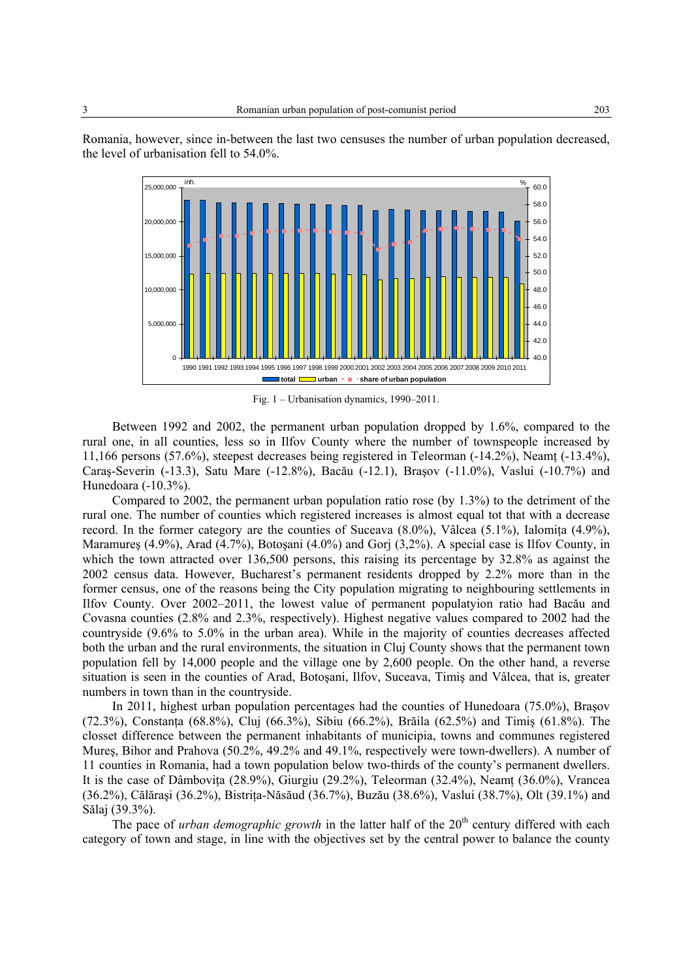

Romania, however, since in-between the last two censuses the number of urban population decreased, the level of urbanisation fell to 54.0%.



Fig. 1 – Urbanisation dynamics, 1990–2011.

1990 1991 1992 1993 1994 1995 1996 1997 1998 1999 2000 2001 2002 2003 2004 2005 2006 2007 2008 2009 2010 2011

**total urban share of urban population**

Compared to 2002, the permanent urban population ratio rose (by 1.3%) to the detriment of the rural one. The number of counties which registered increases is almost equal tot that with a decrease record. In the former category are the counties of Suceava  $(8.0\%)$ , Vâlcea  $(5.1\%)$ , Ialomita  $(4.9\%)$ , Maramureş (4.9%), Arad (4.7%), Botoşani (4.0%) and Gorj (3,2%). A special case is Ilfov County, in which the town attracted over 136,500 persons, this raising its percentage by 32.8% as against the 2002 census data. However, Bucharest's permanent residents dropped by 2.2% more than in the former census, one of the reasons being the City population migrating to neighbouring settlements in Ilfov County. Over 2002–2011, the lowest value of permanent populatyion ratio had Bacău and Covasna counties (2.8% and 2.3%, respectively). Highest negative values compared to 2002 had the countryside (9.6% to 5.0% in the urban area). While in the majority of counties decreases affected both the urban and the rural environments, the situation in Cluj County shows that the permanent town population fell by 14,000 people and the village one by 2,600 people. On the other hand, a reverse situation is seen in the counties of Arad, Botoşani, Ilfov, Suceava, Timiş and Vâlcea, that is, greater numbers in town than in the countryside.

In 2011, highest urban population percentages had the counties of Hunedoara (75.0%), Braşov (72.3%), Constanta (68.8%), Cluj (66.3%), Sibiu (66.2%), Brăila (62.5%) and Timis (61.8%). The closset difference between the permanent inhabitants of municipia, towns and communes registered Mureş, Bihor and Prahova (50.2%, 49.2% and 49.1%, respectively were town-dwellers). A number of 11 counties in Romania, had a town population below two-thirds of the county's permanent dwellers. It is the case of Dâmboviţa (28.9%), Giurgiu (29.2%), Teleorman (32.4%), Neamţ (36.0%), Vrancea (36.2%), Călăraşi (36.2%), Bistriţa-Năsăud (36.7%), Buzău (38.6%), Vaslui (38.7%), Olt (39.1%) and Sălaj (39.3%).

The pace of *urban demographic growth* in the latter half of the  $20<sup>th</sup>$  century differed with each category of town and stage, in line with the objectives set by the central power to balance the county

 $40<sub>0</sub>$  $42.0$ 44.0 46<sup>(</sup> 48.0 50.0

 $\Omega$ 

5,000,000

10,000,000

15,000,000

20,000,00

25,000,000

inh.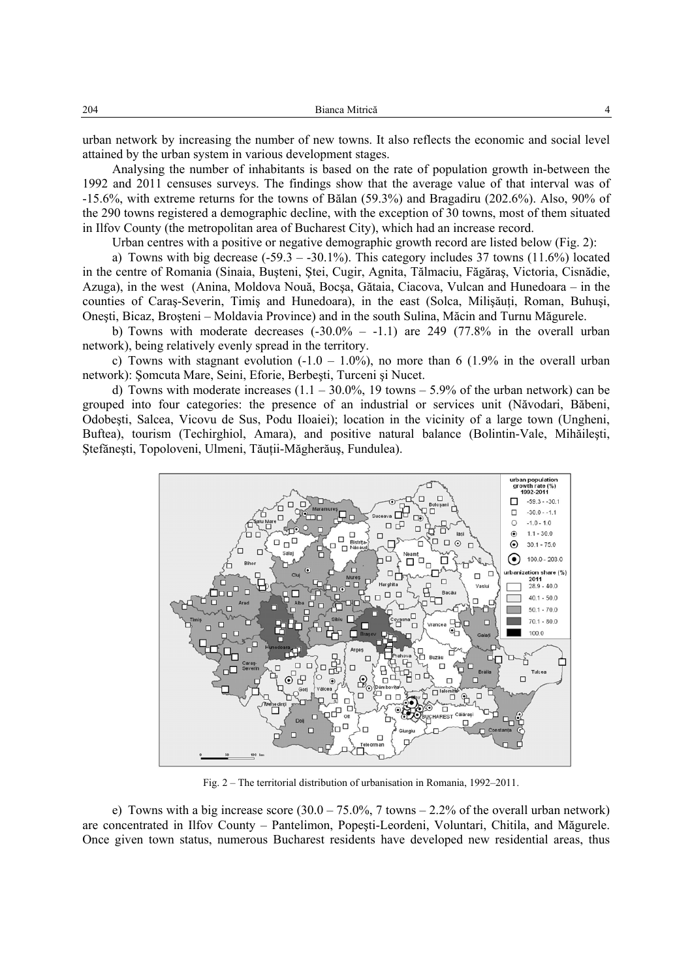urban network by increasing the number of new towns. It also reflects the economic and social level attained by the urban system in various development stages.

Analysing the number of inhabitants is based on the rate of population growth in-between the 1992 and 2011 censuses surveys. The findings show that the average value of that interval was of -15.6%, with extreme returns for the towns of Bălan (59.3%) and Bragadiru (202.6%). Also, 90% of the 290 towns registered a demographic decline, with the exception of 30 towns, most of them situated in Ilfov County (the metropolitan area of Bucharest City), which had an increase record.

Urban centres with a positive or negative demographic growth record are listed below (Fig. 2):

a) Towns with big decrease  $(-59.3 - 30.1\%)$ . This category includes 37 towns  $(11.6\%)$  located in the centre of Romania (Sinaia, Buşteni, Ştei, Cugir, Agnita, Tălmaciu, Făgăraş, Victoria, Cisnădie, Azuga), in the west (Anina, Moldova Nouă, Bocşa, Gătaia, Ciacova, Vulcan and Hunedoara – in the counties of Caras-Severin, Timis and Hunedoara), in the east (Solca, Milisăuti, Roman, Buhusi, Oneşti, Bicaz, Broşteni – Moldavia Province) and in the south Sulina, Măcin and Turnu Măgurele.

b) Towns with moderate decreases  $(-30.0\% -1.1)$  are 249 (77.8% in the overall urban network), being relatively evenly spread in the territory.

c) Towns with stagnant evolution  $(-1.0 - 1.0\%)$ , no more than 6  $(1.9\%$  in the overall urban network): Şomcuta Mare, Seini, Eforie, Berbeşti, Turceni şi Nucet.

d) Towns with moderate increases  $(1.1 - 30.0\%$ , 19 towns  $- 5.9\%$  of the urban network) can be grouped into four categories: the presence of an industrial or services unit (Năvodari, Băbeni, Odobeşti, Salcea, Vicovu de Sus, Podu Iloaiei); location in the vicinity of a large town (Ungheni, Buftea), tourism (Techirghiol, Amara), and positive natural balance (Bolintin-Vale, Mihăileşti, Ştefăneşti, Topoloveni, Ulmeni, Tăuţii-Măgherăuş, Fundulea).



Fig. 2 – The territorial distribution of urbanisation in Romania, 1992–2011.

e) Towns with a big increase score  $(30.0 - 75.0\% , 7 \text{ towns} - 2.2\%$  of the overall urban network) are concentrated in Ilfov County – Pantelimon, Popeşti-Leordeni, Voluntari, Chitila, and Măgurele. Once given town status, numerous Bucharest residents have developed new residential areas, thus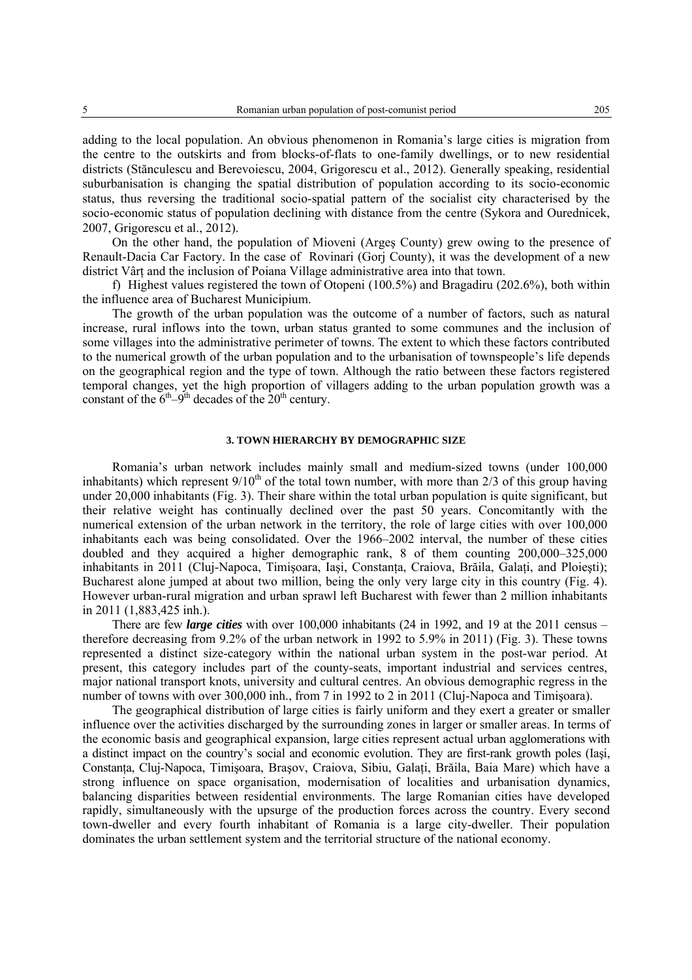adding to the local population. An obvious phenomenon in Romania's large cities is migration from the centre to the outskirts and from blocks-of-flats to one-family dwellings, or to new residential districts (Stănculescu and Berevoiescu, 2004, Grigorescu et al., 2012). Generally speaking, residential suburbanisation is changing the spatial distribution of population according to its socio-economic status, thus reversing the traditional socio-spatial pattern of the socialist city characterised by the socio-economic status of population declining with distance from the centre (Sykora and Ourednicek, 2007, Grigorescu et al., 2012).

On the other hand, the population of Mioveni (Argeş County) grew owing to the presence of Renault-Dacia Car Factory. In the case of Rovinari (Gorj County), it was the development of a new district Vârt and the inclusion of Poiana Village administrative area into that town.

f) Highest values registered the town of Otopeni (100.5%) and Bragadiru (202.6%), both within the influence area of Bucharest Municipium.

The growth of the urban population was the outcome of a number of factors, such as natural increase, rural inflows into the town, urban status granted to some communes and the inclusion of some villages into the administrative perimeter of towns. The extent to which these factors contributed to the numerical growth of the urban population and to the urbanisation of townspeople's life depends on the geographical region and the type of town. Although the ratio between these factors registered temporal changes, yet the high proportion of villagers adding to the urban population growth was a constant of the  $6<sup>th</sup>-9<sup>th</sup>$  decades of the 20<sup>th</sup> century.

#### **3. TOWN HIERARCHY BY DEMOGRAPHIC SIZE**

Romania's urban network includes mainly small and medium-sized towns (under 100,000 inhabitants) which represent  $9/10<sup>th</sup>$  of the total town number, with more than 2/3 of this group having under 20,000 inhabitants (Fig. 3). Their share within the total urban population is quite significant, but their relative weight has continually declined over the past 50 years. Concomitantly with the numerical extension of the urban network in the territory, the role of large cities with over 100,000 inhabitants each was being consolidated. Over the 1966–2002 interval, the number of these cities doubled and they acquired a higher demographic rank, 8 of them counting 200,000–325,000 inhabitants in 2011 (Cluj-Napoca, Timișoara, Iași, Constanta, Craiova, Brăila, Galati, and Ploiești); Bucharest alone jumped at about two million, being the only very large city in this country (Fig. 4). However urban-rural migration and urban sprawl left Bucharest with fewer than 2 million inhabitants in 2011 (1,883,425 inh.).

There are few *large cities* with over 100,000 inhabitants (24 in 1992, and 19 at the 2011 census – therefore decreasing from 9.2% of the urban network in 1992 to 5.9% in 2011) (Fig. 3). These towns represented a distinct size-category within the national urban system in the post-war period. At present, this category includes part of the county-seats, important industrial and services centres, major national transport knots, university and cultural centres. An obvious demographic regress in the number of towns with over 300,000 inh., from 7 in 1992 to 2 in 2011 (Cluj-Napoca and Timisoara).

The geographical distribution of large cities is fairly uniform and they exert a greater or smaller influence over the activities discharged by the surrounding zones in larger or smaller areas. In terms of the economic basis and geographical expansion, large cities represent actual urban agglomerations with a distinct impact on the country's social and economic evolution. They are first-rank growth poles (Iaşi, Constanţa, Cluj-Napoca, Timişoara, Braşov, Craiova, Sibiu, Galaţi, Brăila, Baia Mare) which have a strong influence on space organisation, modernisation of localities and urbanisation dynamics, balancing disparities between residential environments. The large Romanian cities have developed rapidly, simultaneously with the upsurge of the production forces across the country. Every second town-dweller and every fourth inhabitant of Romania is a large city-dweller. Their population dominates the urban settlement system and the territorial structure of the national economy.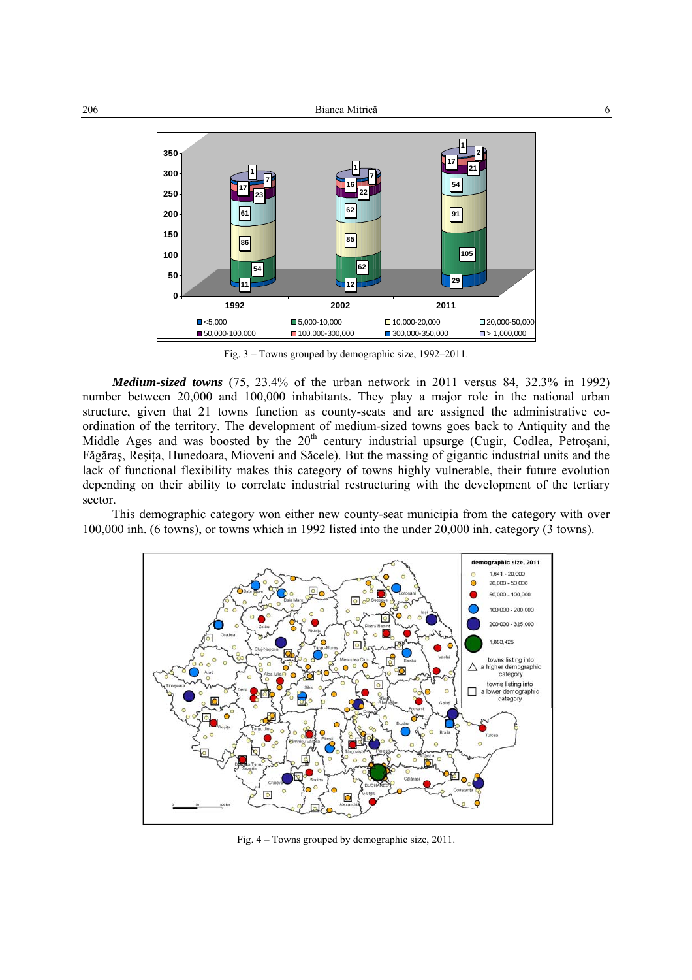

Fig. 3 – Towns grouped by demographic size, 1992–2011.

*Medium-sized towns* (75, 23.4% of the urban network in 2011 versus 84, 32.3% in 1992) number between 20,000 and 100,000 inhabitants. They play a major role in the national urban structure, given that 21 towns function as county-seats and are assigned the administrative coordination of the territory. The development of medium-sized towns goes back to Antiquity and the Middle Ages and was boosted by the  $20<sup>th</sup>$  century industrial upsurge (Cugir, Codlea, Petrosani, Făgăraş, Reşiţa, Hunedoara, Mioveni and Săcele). But the massing of gigantic industrial units and the lack of functional flexibility makes this category of towns highly vulnerable, their future evolution depending on their ability to correlate industrial restructuring with the development of the tertiary sector.

This demographic category won either new county-seat municipia from the category with over 100,000 inh. (6 towns), or towns which in 1992 listed into the under 20,000 inh. category (3 towns).



Fig. 4 – Towns grouped by demographic size, 2011.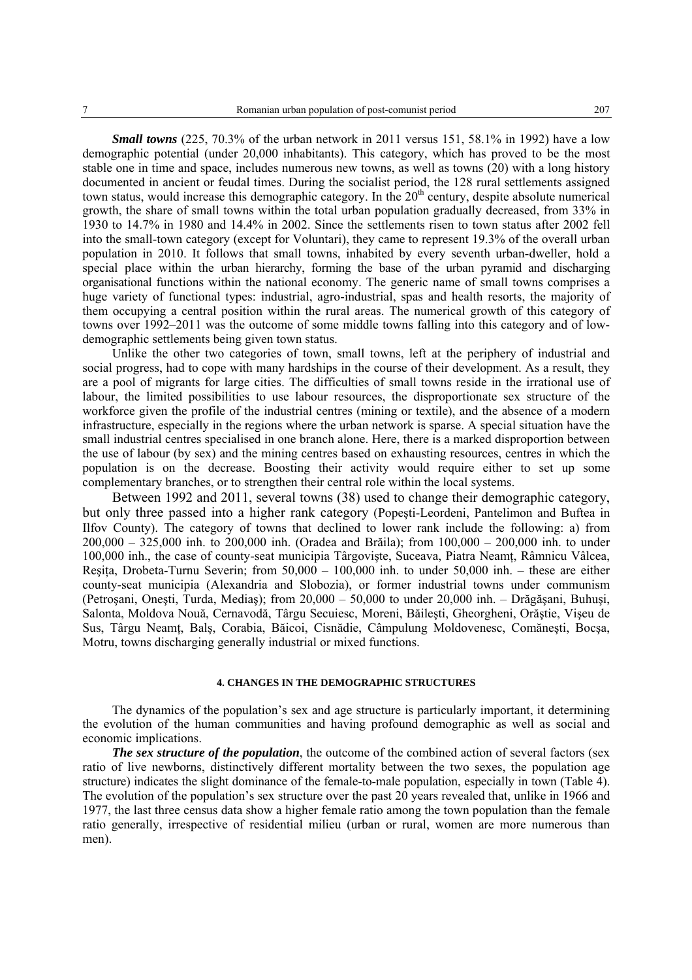*Small towns* (225, 70.3% of the urban network in 2011 versus 151, 58.1% in 1992) have a low demographic potential (under 20,000 inhabitants). This category, which has proved to be the most stable one in time and space, includes numerous new towns, as well as towns (20) with a long history documented in ancient or feudal times. During the socialist period, the 128 rural settlements assigned town status, would increase this demographic category. In the 20<sup>th</sup> century, despite absolute numerical growth, the share of small towns within the total urban population gradually decreased, from 33% in 1930 to 14.7% in 1980 and 14.4% in 2002. Since the settlements risen to town status after 2002 fell into the small-town category (except for Voluntari), they came to represent 19.3% of the overall urban population in 2010. It follows that small towns, inhabited by every seventh urban-dweller, hold a special place within the urban hierarchy, forming the base of the urban pyramid and discharging organisational functions within the national economy. The generic name of small towns comprises a huge variety of functional types: industrial, agro-industrial, spas and health resorts, the majority of them occupying a central position within the rural areas. The numerical growth of this category of towns over 1992–2011 was the outcome of some middle towns falling into this category and of lowdemographic settlements being given town status.

Unlike the other two categories of town, small towns, left at the periphery of industrial and social progress, had to cope with many hardships in the course of their development. As a result, they are a pool of migrants for large cities. The difficulties of small towns reside in the irrational use of labour, the limited possibilities to use labour resources, the disproportionate sex structure of the workforce given the profile of the industrial centres (mining or textile), and the absence of a modern infrastructure, especially in the regions where the urban network is sparse. A special situation have the small industrial centres specialised in one branch alone. Here, there is a marked disproportion between the use of labour (by sex) and the mining centres based on exhausting resources, centres in which the population is on the decrease. Boosting their activity would require either to set up some complementary branches, or to strengthen their central role within the local systems.

Between 1992 and 2011, several towns (38) used to change their demographic category, but only three passed into a higher rank category (Popeşti-Leordeni, Pantelimon and Buftea in Ilfov County). The category of towns that declined to lower rank include the following: a) from 200,000 – 325,000 inh. to 200,000 inh. (Oradea and Brăila); from 100,000 – 200,000 inh. to under 100,000 inh., the case of county-seat municipia Târgovişte, Suceava, Piatra Neamţ, Râmnicu Vâlcea, Resita, Drobeta-Turnu Severin; from  $50,000 - 100,000$  inh. to under  $50,000$  inh. – these are either county-seat municipia (Alexandria and Slobozia), or former industrial towns under communism (Petroşani, Oneşti, Turda, Mediaş); from 20,000 – 50,000 to under 20,000 inh. – Drăgăşani, Buhuşi, Salonta, Moldova Nouă, Cernavodă, Târgu Secuiesc, Moreni, Băileşti, Gheorgheni, Orăştie, Vişeu de Sus, Târgu Neamţ, Balş, Corabia, Băicoi, Cisnădie, Câmpulung Moldovenesc, Comăneşti, Bocşa, Motru, towns discharging generally industrial or mixed functions.

### **4. CHANGES IN THE DEMOGRAPHIC STRUCTURES**

The dynamics of the population's sex and age structure is particularly important, it determining the evolution of the human communities and having profound demographic as well as social and economic implications.

*The sex structure of the population*, the outcome of the combined action of several factors (sex ratio of live newborns, distinctively different mortality between the two sexes, the population age structure) indicates the slight dominance of the female-to-male population, especially in town (Table 4). The evolution of the population's sex structure over the past 20 years revealed that, unlike in 1966 and 1977, the last three census data show a higher female ratio among the town population than the female ratio generally, irrespective of residential milieu (urban or rural, women are more numerous than men).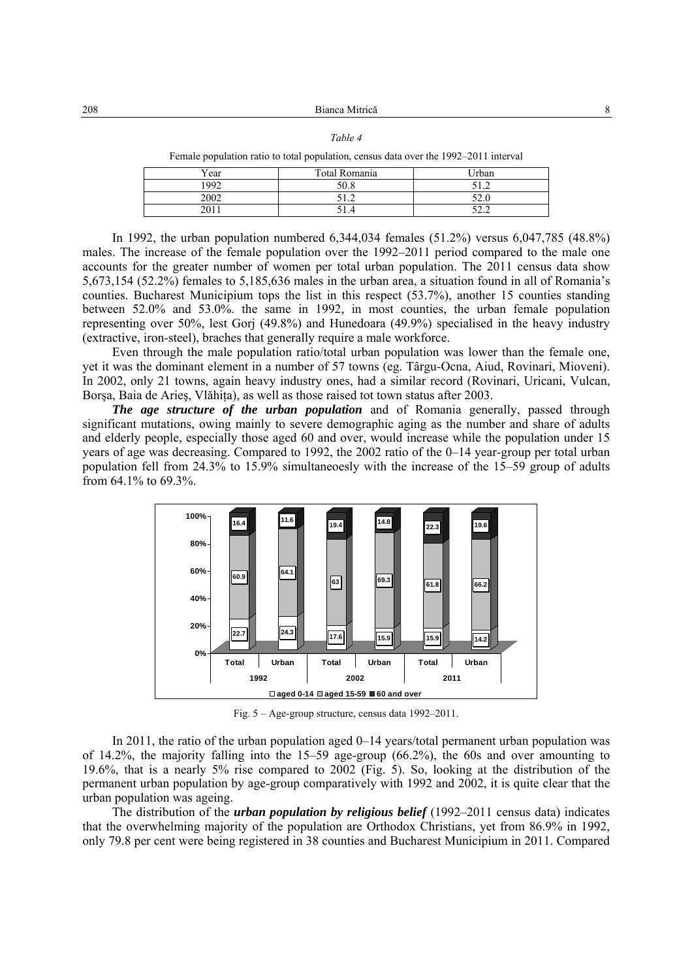|--|--|

Female population ratio to total population, census data over the 1992–2011 interval

| Year | Total Romania | Irban           |
|------|---------------|-----------------|
| 1992 | 50.8          | $-1$            |
| 2002 | ∽<br>◡<br>.   | $\sim$<br>J∠.∪  |
| 201  |               | $\sim$<br>ے ۔ ب |

In 1992, the urban population numbered 6,344,034 females (51.2%) versus 6,047,785 (48.8%) males. The increase of the female population over the 1992–2011 period compared to the male one accounts for the greater number of women per total urban population. The 2011 census data show 5,673,154 (52.2%) females to 5,185,636 males in the urban area, a situation found in all of Romania's counties. Bucharest Municipium tops the list in this respect (53.7%), another 15 counties standing between 52.0% and 53.0%. the same in 1992, in most counties, the urban female population representing over 50%, lest Gorj (49.8%) and Hunedoara (49.9%) specialised in the heavy industry (extractive, iron-steel), braches that generally require a male workforce.

Even through the male population ratio/total urban population was lower than the female one, yet it was the dominant element in a number of 57 towns (eg. Târgu-Ocna, Aiud, Rovinari, Mioveni). In 2002, only 21 towns, again heavy industry ones, had a similar record (Rovinari, Uricani, Vulcan, Borsa, Baia de Aries, Vlăhita), as well as those raised tot town status after 2003.

*The age structure of the urban population* and of Romania generally, passed through significant mutations, owing mainly to severe demographic aging as the number and share of adults and elderly people, especially those aged 60 and over, would increase while the population under 15 years of age was decreasing. Compared to 1992, the 2002 ratio of the 0–14 year-group per total urban population fell from 24.3% to 15.9% simultaneoesly with the increase of the 15–59 group of adults from 64.1% to 69.3%.



Fig. 5 – Age-group structure, census data 1992–2011.

In 2011, the ratio of the urban population aged 0–14 years/total permanent urban population was of 14.2%, the majority falling into the 15–59 age-group (66.2%), the 60s and over amounting to 19.6%, that is a nearly 5% rise compared to 2002 (Fig. 5). So, looking at the distribution of the permanent urban population by age-group comparatively with 1992 and 2002, it is quite clear that the urban population was ageing.

The distribution of the *urban population by religious belief* (1992–2011 census data) indicates that the overwhelming majority of the population are Orthodox Christians, yet from 86.9% in 1992, only 79.8 per cent were being registered in 38 counties and Bucharest Municipium in 2011. Compared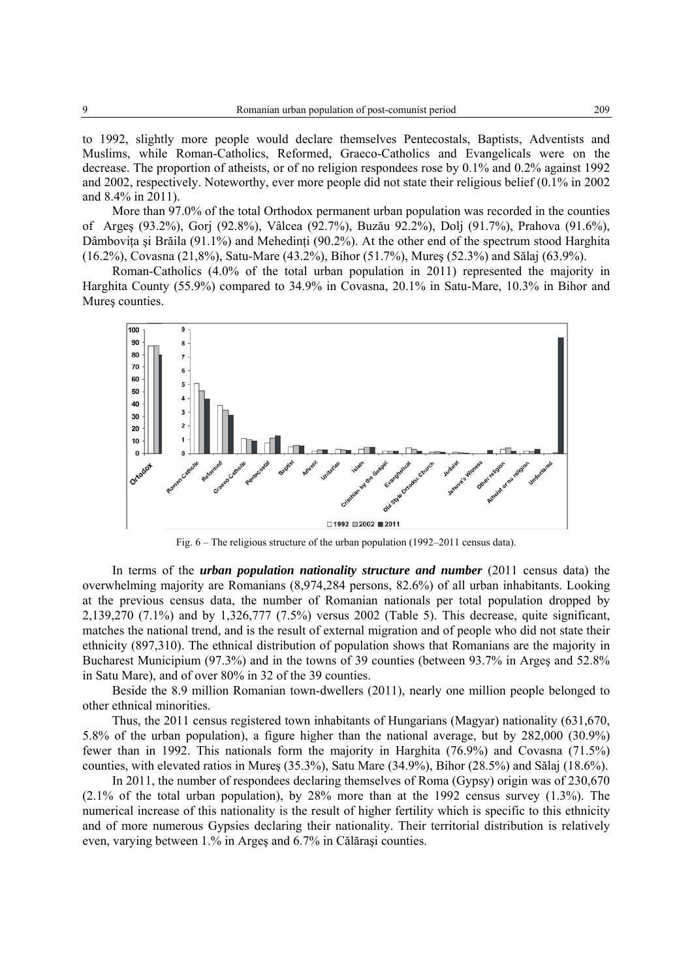to 1992, slightly more people would declare themselves Pentecostals, Baptists, Adventists and Muslims, while Roman-Catholics, Reformed, Graeco-Catholics and Evangelicals were on the decrease. The proportion of atheists, or of no religion respondees rose by 0.1% and 0.2% against 1992 and 2002, respectively. Noteworthy, ever more people did not state their religious belief (0.1% in 2002 and 8.4% in 2011).

More than 97.0% of the total Orthodox permanent urban population was recorded in the counties of Argeş (93.2%), Gorj (92.8%), Vâlcea (92.7%), Buzău 92.2%), Dolj (91.7%), Prahova (91.6%), Dâmbovita și Brăila (91.1%) and Mehedinți (90.2%). At the other end of the spectrum stood Harghita (16.2%), Covasna (21,8%), Satu-Mare (43.2%), Bihor (51.7%), Mureş (52.3%) and Sălaj (63.9%).

Roman-Catholics (4.0% of the total urban population in 2011) represented the majority in Harghita County (55.9%) compared to 34.9% in Covasna, 20.1% in Satu-Mare, 10.3% in Bihor and Mures counties.



Fig. 6 – The religious structure of the urban population (1992–2011 census data).

In terms of the *urban population nationality structure and number* (2011 census data) the overwhelming majority are Romanians (8,974,284 persons, 82.6%) of all urban inhabitants. Looking at the previous census data, the number of Romanian nationals per total population dropped by 2,139,270 (7.1%) and by 1,326,777 (7.5%) versus 2002 (Table 5). This decrease, quite significant, matches the national trend, and is the result of external migration and of people who did not state their ethnicity (897,310). The ethnical distribution of population shows that Romanians are the majority in Bucharest Municipium (97.3%) and in the towns of 39 counties (between 93.7% in Argeş and 52.8% in Satu Mare), and of over 80% in 32 of the 39 counties.

Beside the 8.9 million Romanian town-dwellers (2011), nearly one million people belonged to other ethnical minorities.

Thus, the 2011 census registered town inhabitants of Hungarians (Magyar) nationality (631,670, 5.8% of the urban population), a figure higher than the national average, but by 282,000 (30.9%) fewer than in 1992. This nationals form the majority in Harghita (76.9%) and Covasna (71.5%) counties, with elevated ratios in Mureş (35.3%), Satu Mare (34.9%), Bihor (28.5%) and Sălaj (18.6%).

In 2011, the number of respondees declaring themselves of Roma (Gypsy) origin was of 230,670 (2.1% of the total urban population), by 28% more than at the 1992 census survey (1.3%). The numerical increase of this nationality is the result of higher fertility which is specific to this ethnicity and of more numerous Gypsies declaring their nationality. Their territorial distribution is relatively even, varying between 1.% in Argeş and 6.7% in Călăraşi counties.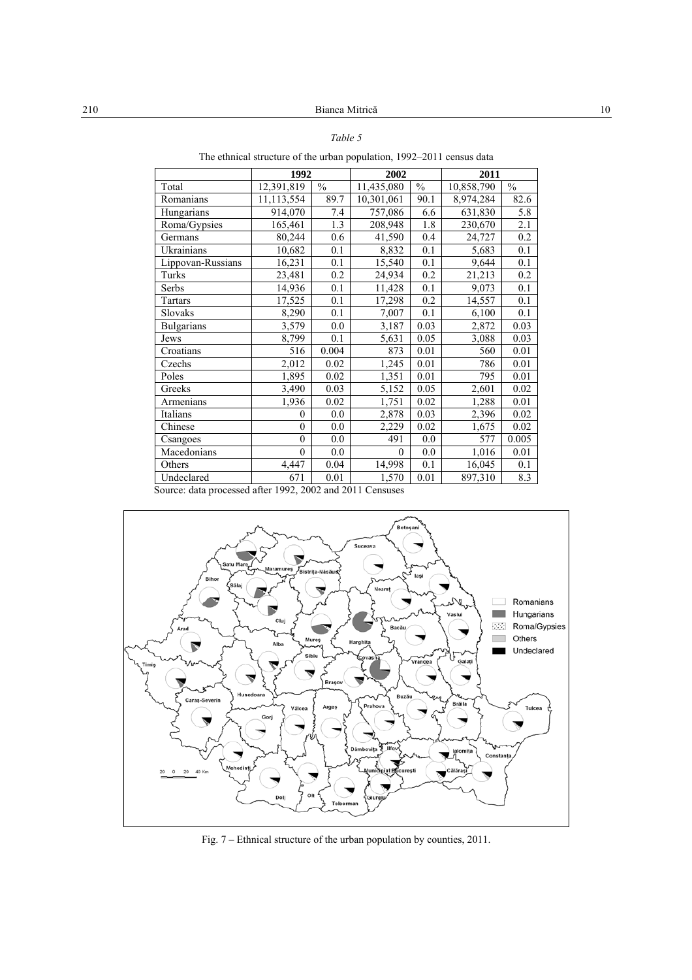The ethnical structure of the urban population, 1992–2011 census data

|                                                           | 1992       |                  | 2002       |                          | 2011                       |                  |
|-----------------------------------------------------------|------------|------------------|------------|--------------------------|----------------------------|------------------|
| Total                                                     | 12,391,819 | $\frac{0}{0}$    | 11,435,080 | $\overline{\frac{0}{0}}$ | $\overline{10}$ , 858, 790 | $\%$             |
| Romanians                                                 | 11,113,554 | 89.7             | 10,301,061 | 90.1                     | 8,974,284                  | 82.6             |
| Hungarians                                                | 914,070    | 7.4              | 757,086    | 6.6                      | 631,830                    | 5.8              |
| Roma/Gypsies                                              | 165,461    | $\overline{1.3}$ | 208,948    | 1.8                      | 230,670                    | $\overline{2.1}$ |
| Germans                                                   | 80,244     | 0.6              | 41,590     | 0.4                      | 24,727                     | 0.2              |
| <b>Ukrainians</b>                                         | 10,682     | 0.1              | 8,832      | 0.1                      | 5,683                      | 0.1              |
| Lippovan-Russians                                         | 16,231     | 0.1              | 15,540     | 0.1                      | 9,644                      | 0.1              |
| Turks                                                     | 23,481     | 0.2              | 24,934     | 0.2                      | 21,213                     | 0.2              |
| Serbs                                                     | 14,936     | 0.1              | 11,428     | 0.1                      | 9,073                      | 0.1              |
| Tartars                                                   | 17,525     | 0.1              | 17,298     | 0.2                      | 14,557                     | 0.1              |
| Slovaks                                                   | 8,290      | 0.1              | 7,007      | 0.1                      | 6,100                      | 0.1              |
| <b>Bulgarians</b>                                         | 3,579      | 0.0              | 3,187      | 0.03                     | 2,872                      | 0.03             |
| Jews                                                      | 8,799      | 0.1              | 5,631      | 0.05                     | 3,088                      | 0.03             |
| Croatians                                                 | 516        | 0.004            | 873        | 0.01                     | 560                        | 0.01             |
| Czechs                                                    | 2,012      | 0.02             | 1,245      | 0.01                     | 786                        | 0.01             |
| Poles                                                     | 1,895      | 0.02             | 1,351      | 0.01                     | 795                        | 0.01             |
| Greeks                                                    | 3,490      | 0.03             | 5,152      | 0.05                     | 2,601                      | 0.02             |
| Armenians                                                 | 1,936      | 0.02             | 1,751      | 0.02                     | 1,288                      | 0.01             |
| Italians                                                  | $\theta$   | 0.0              | 2,878      | 0.03                     | 2,396                      | 0.02             |
| Chinese                                                   | $\theta$   | 0.0              | 2,229      | 0.02                     | 1,675                      | 0.02             |
| Csangoes                                                  | $\theta$   | 0.0              | 491        | 0.0                      | 577                        | 0.005            |
| Macedonians                                               | $\theta$   | 0.0              | $\theta$   | 0.0                      | 1,016                      | 0.01             |
| Others                                                    | 4,447      | 0.04             | 14,998     | $\overline{0.1}$         | 16,045                     | 0.1              |
| Undeclared                                                | 671        | 0.01             | 1,570      | 0.01                     | 897,310                    | 8.3              |
| Source: data processed after 1992, 2002 and 2011 Censuses |            |                  |            |                          |                            |                  |



Fig. 7 – Ethnical structure of the urban population by counties, 2011.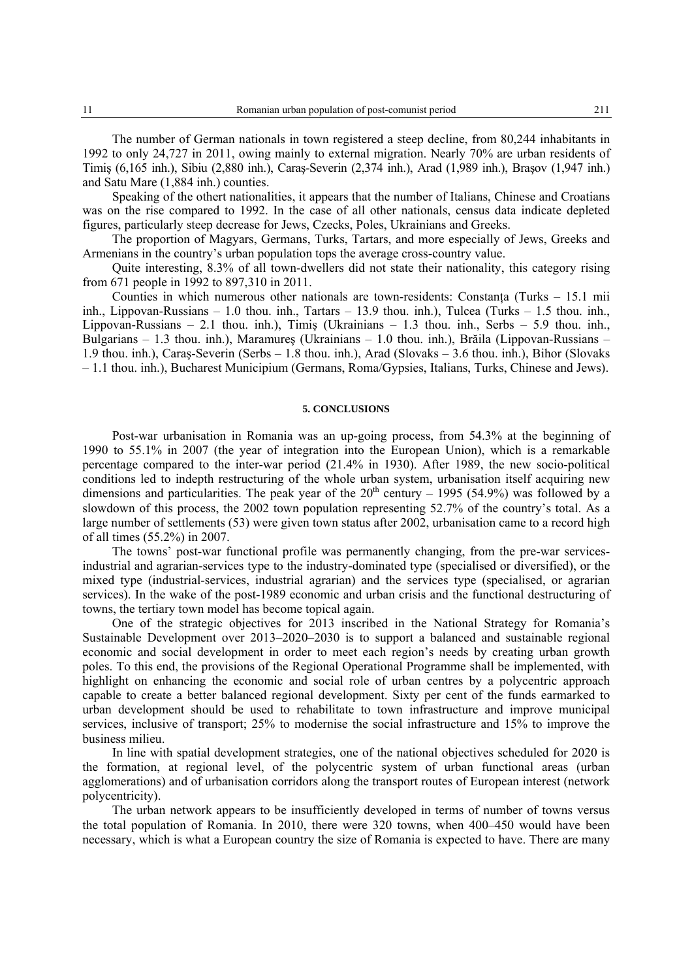The number of German nationals in town registered a steep decline, from 80,244 inhabitants in 1992 to only 24,727 in 2011, owing mainly to external migration. Nearly 70% are urban residents of Timiş (6,165 inh.), Sibiu (2,880 inh.), Caraş-Severin (2,374 inh.), Arad (1,989 inh.), Braşov (1,947 inh.) and Satu Mare (1,884 inh.) counties.

Speaking of the othert nationalities, it appears that the number of Italians, Chinese and Croatians was on the rise compared to 1992. In the case of all other nationals, census data indicate depleted figures, particularly steep decrease for Jews, Czecks, Poles, Ukrainians and Greeks.

The proportion of Magyars, Germans, Turks, Tartars, and more especially of Jews, Greeks and Armenians in the country's urban population tops the average cross-country value.

Quite interesting, 8.3% of all town-dwellers did not state their nationality, this category rising from 671 people in 1992 to 897,310 in 2011.

Counties in which numerous other nationals are town-residents: Constanţa (Turks – 15.1 mii inh., Lippovan-Russians  $-1.0$  thou. inh., Tartars  $-13.9$  thou. inh.), Tulcea (Turks  $-1.5$  thou. inh. Lippovan-Russians – 2.1 thou. inh.), Timiş (Ukrainians – 1.3 thou. inh., Serbs – 5.9 thou. inh., Bulgarians – 1.3 thou. inh.), Maramureş (Ukrainians – 1.0 thou. inh.), Brăila (Lippovan-Russians – 1.9 thou. inh.), Caraş-Severin (Serbs – 1.8 thou. inh.), Arad (Slovaks – 3.6 thou. inh.), Bihor (Slovaks – 1.1 thou. inh.), Bucharest Municipium (Germans, Roma/Gypsies, Italians, Turks, Chinese and Jews).

#### **5. CONCLUSIONS**

Post-war urbanisation in Romania was an up-going process, from 54.3% at the beginning of 1990 to 55.1% in 2007 (the year of integration into the European Union), which is a remarkable percentage compared to the inter-war period (21.4% in 1930). After 1989, the new socio-political conditions led to indepth restructuring of the whole urban system, urbanisation itself acquiring new dimensions and particularities. The peak year of the  $20<sup>th</sup>$  century – 1995 (54.9%) was followed by a slowdown of this process, the 2002 town population representing 52.7% of the country's total. As a large number of settlements (53) were given town status after 2002, urbanisation came to a record high of all times (55.2%) in 2007.

The towns' post-war functional profile was permanently changing, from the pre-war servicesindustrial and agrarian-services type to the industry-dominated type (specialised or diversified), or the mixed type (industrial-services, industrial agrarian) and the services type (specialised, or agrarian services). In the wake of the post-1989 economic and urban crisis and the functional destructuring of towns, the tertiary town model has become topical again.

One of the strategic objectives for 2013 inscribed in the National Strategy for Romania's Sustainable Development over 2013–2020–2030 is to support a balanced and sustainable regional economic and social development in order to meet each region's needs by creating urban growth poles. To this end, the provisions of the Regional Operational Programme shall be implemented, with highlight on enhancing the economic and social role of urban centres by a polycentric approach capable to create a better balanced regional development. Sixty per cent of the funds earmarked to urban development should be used to rehabilitate to town infrastructure and improve municipal services, inclusive of transport; 25% to modernise the social infrastructure and 15% to improve the business milieu.

In line with spatial development strategies, one of the national objectives scheduled for 2020 is the formation, at regional level, of the polycentric system of urban functional areas (urban agglomerations) and of urbanisation corridors along the transport routes of European interest (network polycentricity).

The urban network appears to be insufficiently developed in terms of number of towns versus the total population of Romania. In 2010, there were 320 towns, when 400–450 would have been necessary, which is what a European country the size of Romania is expected to have. There are many